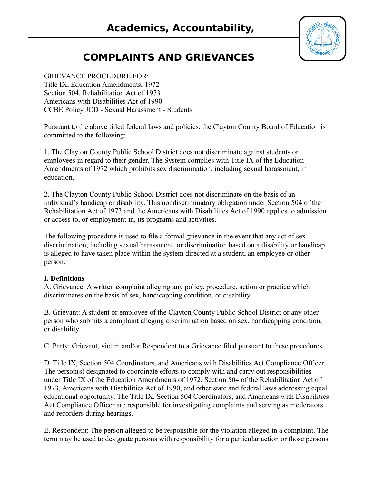

# **COMPLAINTS AND GRIEVANCES**

**Achievement**

#### GRIEVANCE PROCEDURE FOR:

Title IX, Education Amendments, 1972 Section 504, Rehabilitation Act of 1973 Americans with Disabilities Act of 1990 CCBE Policy JCD - Sexual Harassment - Students

Pursuant to the above titled federal laws and policies, the Clayton County Board of Education is committed to the following:

1. The Clayton County Public School District does not discriminate against students or employees in regard to their gender. The System complies with Title IX of the Education Amendments of 1972 which prohibits sex discrimination, including sexual harassment, in education.

2. The Clayton County Public School District does not discriminate on the basis of an individual's handicap or disability. This nondiscriminatory obligation under Section 504 of the Rehabilitation Act of 1973 and the Americans with Disabilities Act of 1990 applies to admission or access to, or employment in, its programs and activities.

The following procedure is used to file a formal grievance in the event that any act of sex discrimination, including sexual harassment, or discrimination based on a disability or handicap, is alleged to have taken place within the system directed at a student, an employee or other person.

#### **I. Definitions**

A. Grievance: A written complaint alleging any policy, procedure, action or practice which discriminates on the basis of sex, handicapping condition, or disability.

B. Grievant: A student or employee of the Clayton County Public School District or any other person who submits a complaint alleging discrimination based on sex, handicapping condition, or disability.

C. Party: Grievant, victim and/or Respondent to a Grievance filed pursuant to these procedures.

D. Title IX, Section 504 Coordinators, and Americans with Disabilities Act Compliance Officer: The person(s) designated to coordinate efforts to comply with and carry out responsibilities under Title IX of the Education Amendments of 1972, Section 504 of the Rehabilitation Act of 1973, Americans with Disabilities Act of 1990, and other state and federal laws addressing equal educational opportunity. The Title IX, Section 504 Coordinators, and Americans with Disabilities Act Compliance Officer are responsible for investigating complaints and serving as moderators and recorders during hearings.

E. Respondent: The person alleged to be responsible for the violation alleged in a complaint. The term may be used to designate persons with responsibility for a particular action or those persons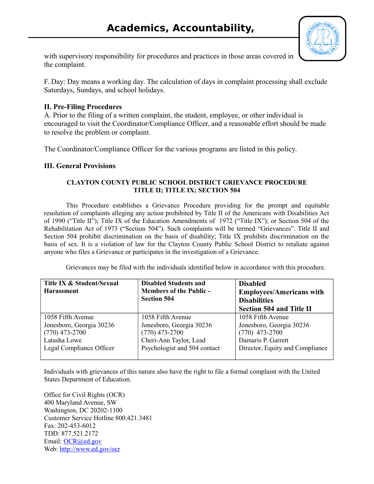

with supervisory responsibility for procedures and practices in those areas covered in the complaint.

**Achievement**

F. Day: Day means a working day. The calculation of days in complaint processing shall exclude Saturdays, Sundays, and school holidays.

## **II. Pre-Filing Procedures**

A. Prior to the filing of a written complaint, the student, employee, or other individual is encouraged to visit the Coordinator/Compliance Officer, and a reasonable effort should be made to resolve the problem or complaint.

The Coordinator/Compliance Officer for the various programs are listed in this policy.

## **III. General Provisions**

#### **CLAYTON COUNTY PUBLIC SCHOOL DISTRICT GRIEVANCE PROCEDURE TITLE II; TITLE IX; SECTION 504**

This Procedure establishes a Grievance Procedure providing for the prompt and equitable resolution of complaints alleging any action prohibited by Title II of the Americans with Disabilities Act of 1990 ("Title II"); Title IX of the Education Amendments of 1972 ("Title IX"); or Section 504 of the Rehabilitation Act of 1973 ("Section 504"). Such complaints will be termed "Grievances". Title II and Section 504 prohibit discrimination on the basis of disability; Title IX prohibits discrimination on the basis of sex. It is a violation of law for the Clayton County Public School District to retaliate against anyone who files a Grievance or participates in the investigation of a Grievance.

Grievances may be filed with the individuals identified below in accordance with this procedure.

| Title IX & Student/Sexual<br><b>Harassment</b> | <b>Disabled Students and</b><br><b>Members of the Public -</b><br><b>Section 504</b> | <b>Disabled</b><br><b>Employees/Americans with</b><br><b>Disabilities</b><br><b>Section 504 and Title II</b> |
|------------------------------------------------|--------------------------------------------------------------------------------------|--------------------------------------------------------------------------------------------------------------|
| 1058 Fifth Avenue                              | 1058 Fifth Avenue                                                                    | 1058 Fifth Avenue                                                                                            |
| Jonesboro, Georgia 30236                       | Jonesboro, Georgia 30236                                                             | Jonesboro, Georgia 30236                                                                                     |
| $(770)$ 473-2700                               | $(770)$ 473-2700                                                                     | $(770)$ 473-2700                                                                                             |
| Latasha Lowe                                   | Cheri-Ann Taylor, Lead                                                               | Damaris P. Garrett                                                                                           |
| Legal Compliance Officer                       | Psychologist and 504 contact                                                         | Director, Equity and Compliance                                                                              |

Individuals with grievances of this nature also have the right to file a formal complaint with the United States Department of Education.

Office for Civil Rights (OCR) 400 Maryland Avenue, SW Washington, DC 20202-1100 Customer Service Hotline 800.421.3481 Fax: 202-453-6012 TDD: 877.521.2172 Email: [OCR@ed.gov](mailto:OCR@ed.gov) Web:<http://www.ed.gov/ocr>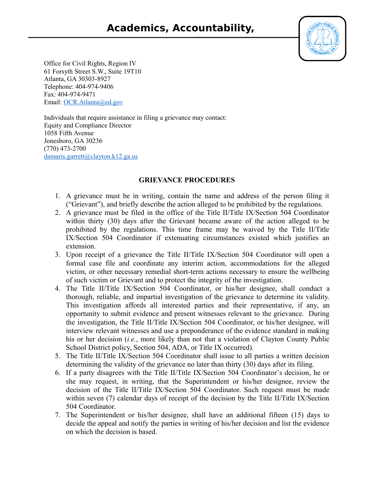

Office for Civil Rights, Region IV 61 Forsyth Street S.W., Suite 19T10 Atlanta, GA 30303-8927 Telephone: 404-974-9406 Fax: 404-974-9471 Email: [OCR.Atlanta@ed.gov](mailto:OCR.Atlanta@ed.gov)

Individuals that require assistance in filing a grievance may contact: Equity and Compliance Director 1058 Fifth Avenue Jonesboro, GA 30236 (770) 473-2700 [damaris.garrett@clayton.k12.ga.us](mailto:damaris.garrett@clayton.k12.ga.us)

**Achievement**

## **GRIEVANCE PROCEDURES**

- 1. A grievance must be in writing, contain the name and address of the person filing it ("Grievant"), and briefly describe the action alleged to be prohibited by the regulations.
- 2. A grievance must be filed in the office of the Title II/Title IX/Section 504 Coordinator within thirty (30) days after the Grievant became aware of the action alleged to be prohibited by the regulations. This time frame may be waived by the Title II/Title IX/Section 504 Coordinator if extenuating circumstances existed which justifies an extension.
- 3. Upon receipt of a grievance the Title II/Title IX/Section 504 Coordinator will open a formal case file and coordinate any interim action, accommodations for the alleged victim, or other necessary remedial short-term actions necessary to ensure the wellbeing of such victim or Grievant and to protect the integrity of the investigation.
- 4. The Title II/Title IX/Section 504 Coordinator, or his/her designee, shall conduct a thorough, reliable, and impartial investigation of the grievance to determine its validity. This investigation affords all interested parties and their representative, if any, an opportunity to submit evidence and present witnesses relevant to the grievance. During the investigation, the Title II/Title IX/Section 504 Coordinator, or his/her designee, will interview relevant witnesses and use a preponderance of the evidence standard in making his or her decision (*i.e.*, more likely than not that a violation of Clayton County Public School District policy, Section 504, ADA, or Title IX occurred).
- 5. The Title II/Title IX/Section 504 Coordinator shall issue to all parties a written decision determining the validity of the grievance no later than thirty (30) days after its filing.
- 6. If a party disagrees with the Title II/Title IX/Section 504 Coordinator's decision, he or she may request, in writing, that the Superintendent or his/her designee, review the decision of the Title II/Title IX/Section 504 Coordinator. Such request must be made within seven (7) calendar days of receipt of the decision by the Title II/Title IX/Section 504 Coordinator.
- 7. The Superintendent or his/her designee, shall have an additional fifteen (15) days to decide the appeal and notify the parties in writing of his/her decision and list the evidence on which the decision is based.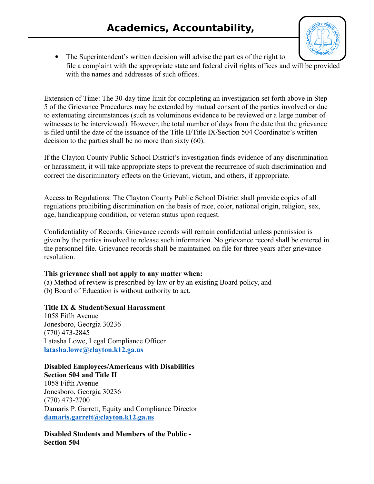**Achievement**



• The Superintendent's written decision will advise the parties of the right to file a complaint with the appropriate state and federal civil rights offices and will be provided with the names and addresses of such offices.

Extension of Time: The 30-day time limit for completing an investigation set forth above in Step 5 of the Grievance Procedures may be extended by mutual consent of the parties involved or due to extenuating circumstances (such as voluminous evidence to be reviewed or a large number of witnesses to be interviewed). However, the total number of days from the date that the grievance is filed until the date of the issuance of the Title II/Title IX/Section 504 Coordinator's written decision to the parties shall be no more than sixty (60).

If the Clayton County Public School District's investigation finds evidence of any discrimination or harassment, it will take appropriate steps to prevent the recurrence of such discrimination and correct the discriminatory effects on the Grievant, victim, and others, if appropriate.

Access to Regulations: The Clayton County Public School District shall provide copies of all regulations prohibiting discrimination on the basis of race, color, national origin, religion, sex, age, handicapping condition, or veteran status upon request.

Confidentiality of Records: Grievance records will remain confidential unless permission is given by the parties involved to release such information. No grievance record shall be entered in the personnel file. Grievance records shall be maintained on file for three years after grievance resolution.

# **This grievance shall not apply to any matter when:**

(a) Method of review is prescribed by law or by an existing Board policy, and (b) Board of Education is without authority to act.

# **Title IX & Student/Sexual Harassment**

1058 Fifth Avenue Jonesboro, Georgia 30236 (770) 473-2845 Latasha Lowe, Legal Compliance Officer **[latasha.lowe@clayton.k12.ga.us](mailto:latasha.lowe@clayton.k12.ga.us)**

#### **Disabled Employees/Americans with Disabilities Section 504 and Title II** 1058 Fifth Avenue

Jonesboro, Georgia 30236 (770) 473-2700 Damaris P. Garrett, Equity and Compliance Director **[damaris.garrett@clayton.k12.ga.us](mailto:damaris.garrett@clayton.k12.ga.us)**

**Disabled Students and Members of the Public - Section 504**